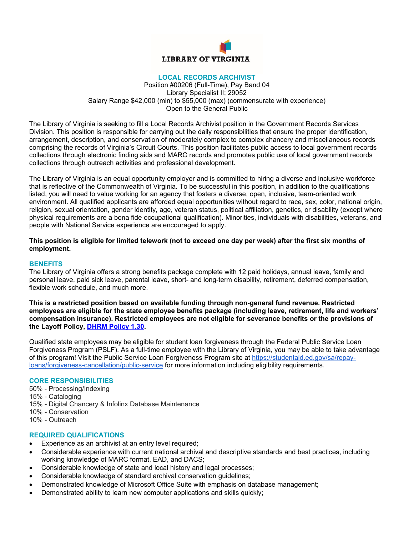

#### **LOCAL RECORDS ARCHIVIST**

Position #00206 (Full-Time), Pay Band 04 Library Specialist II; 29052 Salary Range \$42,000 (min) to \$55,000 (max) (commensurate with experience) Open to the General Public

The Library of Virginia is seeking to fill a Local Records Archivist position in the Government Records Services Division. This position is responsible for carrying out the daily responsibilities that ensure the proper identification, arrangement, description, and conservation of moderately complex to complex chancery and miscellaneous records comprising the records of Virginia's Circuit Courts. This position facilitates public access to local government records collections through electronic finding aids and MARC records and promotes public use of local government records collections through outreach activities and professional development.

The Library of Virginia is an equal opportunity employer and is committed to hiring a diverse and inclusive workforce that is reflective of the Commonwealth of Virginia. To be successful in this position, in addition to the qualifications listed, you will need to value working for an agency that fosters a diverse, open, inclusive, team-oriented work environment. All qualified applicants are afforded equal opportunities without regard to race, sex, color, national origin, religion, sexual orientation, gender identity, age, veteran status, political affiliation, genetics, or disability (except where physical requirements are a bona fide occupational qualification). Minorities, individuals with disabilities, veterans, and people with National Service experience are encouraged to apply.

### **This position is eligible for limited telework (not to exceed one day per week) after the first six months of employment.**

### **BENEFITS**

The Library of Virginia offers a strong benefits package complete with 12 paid holidays, annual leave, family and personal leave, paid sick leave, parental leave, short- and long-term disability, retirement, deferred compensation, flexible work schedule, and much more.

**This is a restricted position based on available funding through non-general fund revenue. Restricted employees are eligible for the state employee benefits package (including leave, retirement, life and workers' compensation insurance). Restricted employees are not eligible for severance benefits or the provisions of the Layoff Policy, DHRM Policy 1.30.** 

Qualified state employees may be eligible for student loan forgiveness through the Federal Public Service Loan Forgiveness Program (PSLF). As a full-time employee with the Library of Virginia, you may be able to take advantage of this program! Visit the Public Service Loan Forgiveness Program site at https://studentaid.ed.gov/sa/repayloans/forgiveness-cancellation/public-service for more information including eligibility requirements.

### **CORE RESPONSIBILITIES**

- 50% Processing/Indexing
- 15% Cataloging
- 15% Digital Chancery & Infolinx Database Maintenance
- 10% Conservation
- 10% Outreach

# **REQUIRED QUALIFICATIONS**

- Experience as an archivist at an entry level required;
- Considerable experience with current national archival and descriptive standards and best practices, including working knowledge of MARC format, EAD, and DACS;
- Considerable knowledge of state and local history and legal processes;
- Considerable knowledge of standard archival conservation guidelines;
- Demonstrated knowledge of Microsoft Office Suite with emphasis on database management;
- Demonstrated ability to learn new computer applications and skills quickly;